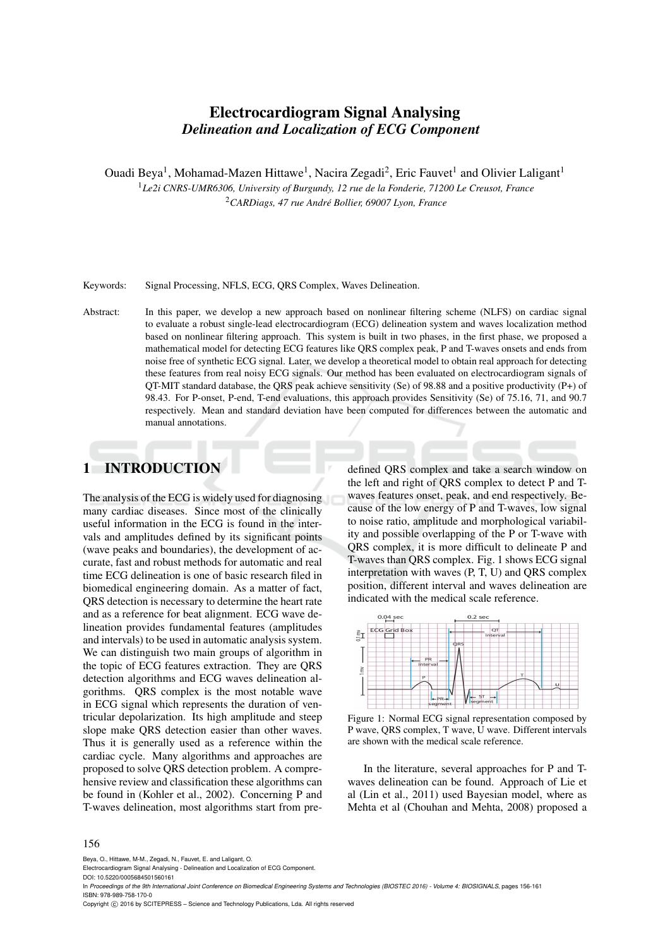# Electrocardiogram Signal Analysing *Delineation and Localization of ECG Component*

Ouadi Beya<sup>1</sup>, Mohamad-Mazen Hittawe<sup>1</sup>, Nacira Zegadi<sup>2</sup>, Eric Fauvet<sup>1</sup> and Olivier Laligant<sup>1</sup> <sup>1</sup>*Le2i CNRS-UMR6306, University of Burgundy, 12 rue de la Fonderie, 71200 Le Creusot, France* <sup>2</sup>*CARDiags, 47 rue Andre Bollier, 69007 Lyon, France ´*

Keywords: Signal Processing, NFLS, ECG, QRS Complex, Waves Delineation.

Abstract: In this paper, we develop a new approach based on nonlinear filtering scheme (NLFS) on cardiac signal to evaluate a robust single-lead electrocardiogram (ECG) delineation system and waves localization method based on nonlinear filtering approach. This system is built in two phases, in the first phase, we proposed a mathematical model for detecting ECG features like QRS complex peak, P and T-waves onsets and ends from noise free of synthetic ECG signal. Later, we develop a theoretical model to obtain real approach for detecting these features from real noisy ECG signals. Our method has been evaluated on electrocardiogram signals of QT-MIT standard database, the QRS peak achieve sensitivity (Se) of 98.88 and a positive productivity (P+) of 98.43. For P-onset, P-end, T-end evaluations, this approach provides Sensitivity (Se) of 75.16, 71, and 90.7 respectively. Mean and standard deviation have been computed for differences between the automatic and manual annotations.

## 1 INTRODUCTION

The analysis of the ECG is widely used for diagnosing many cardiac diseases. Since most of the clinically useful information in the ECG is found in the intervals and amplitudes defined by its significant points (wave peaks and boundaries), the development of accurate, fast and robust methods for automatic and real time ECG delineation is one of basic research filed in biomedical engineering domain. As a matter of fact, QRS detection is necessary to determine the heart rate and as a reference for beat alignment. ECG wave delineation provides fundamental features (amplitudes and intervals) to be used in automatic analysis system. We can distinguish two main groups of algorithm in the topic of ECG features extraction. They are QRS detection algorithms and ECG waves delineation algorithms. QRS complex is the most notable wave in ECG signal which represents the duration of ventricular depolarization. Its high amplitude and steep slope make QRS detection easier than other waves. Thus it is generally used as a reference within the cardiac cycle. Many algorithms and approaches are proposed to solve QRS detection problem. A comprehensive review and classification these algorithms can be found in (Kohler et al., 2002). Concerning P and T-waves delineation, most algorithms start from predefined QRS complex and take a search window on the left and right of QRS complex to detect P and Twaves features onset, peak, and end respectively. Because of the low energy of P and T-waves, low signal to noise ratio, amplitude and morphological variability and possible overlapping of the P or T-wave with QRS complex, it is more difficult to delineate P and T-waves than QRS complex. Fig. 1 shows ECG signal interpretation with waves (P, T, U) and QRS complex position, different interval and waves delineation are indicated with the medical scale reference.



Figure 1: Normal ECG signal representation composed by P wave, QRS complex, T wave, U wave. Different intervals are shown with the medical scale reference.

In the literature, several approaches for P and Twaves delineation can be found. Approach of Lie et al (Lin et al., 2011) used Bayesian model, where as Mehta et al (Chouhan and Mehta, 2008) proposed a

#### 156

Beya, O., Hittawe, M-M., Zegadi, N., Fauvet, E. and Laligant, O.

DOI: 10.5220/0005684501560161

In Proceedings of the 9th International Joint Conference on Biomedical Engineering Systems and Technologies (BIOSTEC 2016) - Volume 4: BIOSIGNALS, pages 156-161 ISBN: 978-989-758-170-0

Copyright (C) 2016 by SCITEPRESS - Science and Technology Publications, Lda. All rights reserved

Electrocardiogram Signal Analysing - Delineation and Localization of ECG Component.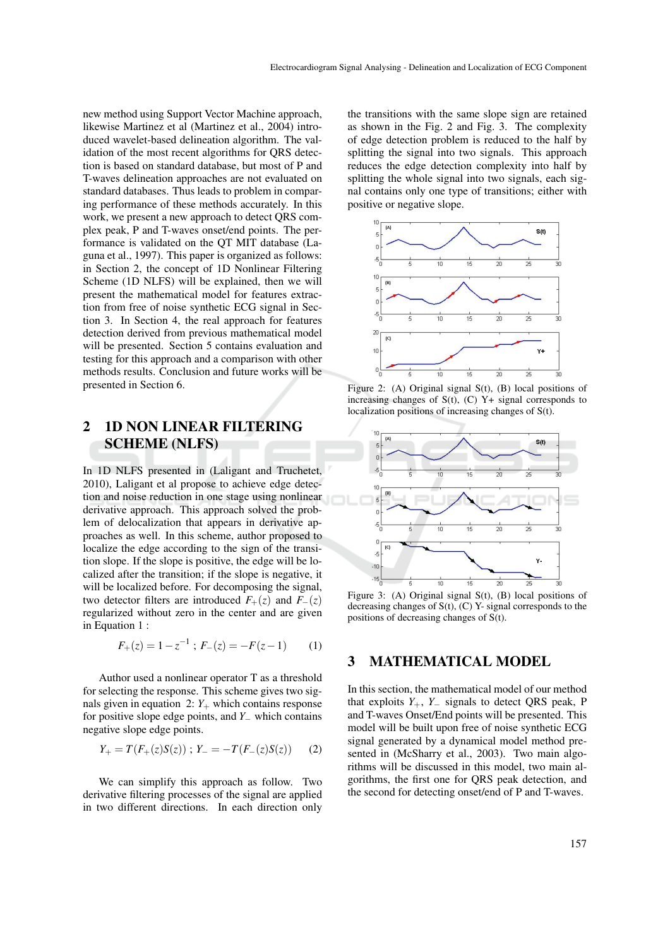new method using Support Vector Machine approach, likewise Martinez et al (Martinez et al., 2004) introduced wavelet-based delineation algorithm. The validation of the most recent algorithms for QRS detection is based on standard database, but most of P and T-waves delineation approaches are not evaluated on standard databases. Thus leads to problem in comparing performance of these methods accurately. In this work, we present a new approach to detect QRS complex peak, P and T-waves onset/end points. The performance is validated on the QT MIT database (Laguna et al., 1997). This paper is organized as follows: in Section 2, the concept of 1D Nonlinear Filtering Scheme (1D NLFS) will be explained, then we will present the mathematical model for features extraction from free of noise synthetic ECG signal in Section 3. In Section 4, the real approach for features detection derived from previous mathematical model will be presented. Section 5 contains evaluation and testing for this approach and a comparison with other methods results. Conclusion and future works will be presented in Section 6.

## 2 1D NON LINEAR FILTERING SCHEME (NLFS)

In 1D NLFS presented in (Laligant and Truchetet, 2010), Laligant et al propose to achieve edge detection and noise reduction in one stage using nonlinear derivative approach. This approach solved the problem of delocalization that appears in derivative approaches as well. In this scheme, author proposed to localize the edge according to the sign of the transition slope. If the slope is positive, the edge will be localized after the transition; if the slope is negative, it will be localized before. For decomposing the signal, two detector filters are introduced  $F_+(z)$  and  $F_-(z)$ regularized without zero in the center and are given in Equation 1 :

$$
F_{+}(z) = 1 - z^{-1} ; F_{-}(z) = -F(z - 1)
$$
 (1)

Author used a nonlinear operator T as a threshold for selecting the response. This scheme gives two signals given in equation  $2: Y_+$  which contains response for positive slope edge points, and *Y*<sup>−</sup> which contains negative slope edge points.

$$
Y_{+} = T(F_{+}(z)S(z)) \; ; \; Y_{-} = -T(F_{-}(z)S(z)) \qquad (2)
$$

We can simplify this approach as follow. Two derivative filtering processes of the signal are applied in two different directions. In each direction only

the transitions with the same slope sign are retained as shown in the Fig. 2 and Fig. 3. The complexity of edge detection problem is reduced to the half by splitting the signal into two signals. This approach reduces the edge detection complexity into half by splitting the whole signal into two signals, each signal contains only one type of transitions; either with positive or negative slope.



Figure 2: (A) Original signal S(t), (B) local positions of increasing changes of  $S(t)$ ,  $(C)$   $Y+$  signal corresponds to localization positions of increasing changes of S(t).



Figure 3: (A) Original signal S(t), (B) local positions of decreasing changes of  $S(t)$ ,  $(C)$  Y- signal corresponds to the positions of decreasing changes of S(t).

#### 3 MATHEMATICAL MODEL

In this section, the mathematical model of our method that exploits  $Y_+$ ,  $Y_-$  signals to detect QRS peak, P and T-waves Onset/End points will be presented. This model will be built upon free of noise synthetic ECG signal generated by a dynamical model method presented in (McSharry et al., 2003). Two main algorithms will be discussed in this model, two main algorithms, the first one for QRS peak detection, and the second for detecting onset/end of P and T-waves.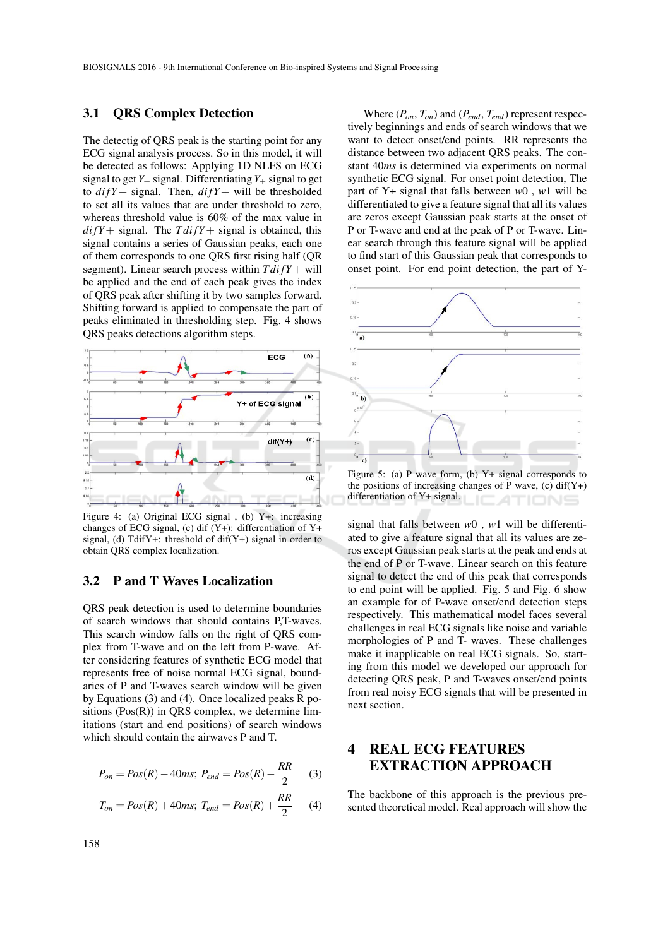#### 3.1 QRS Complex Detection

The detectig of QRS peak is the starting point for any ECG signal analysis process. So in this model, it will be detected as follows: Applying 1D NLFS on ECG signal to get  $Y_+$  signal. Differentiating  $Y_+$  signal to get to  $diff +$  signal. Then,  $diff +$  will be thresholded to set all its values that are under threshold to zero, whereas threshold value is 60% of the max value in  $di fY + signal$ . The  $T di fY + signal$  is obtained, this signal contains a series of Gaussian peaks, each one of them corresponds to one QRS first rising half (QR segment). Linear search process within  $T \frac{diff}{Y}$  will be applied and the end of each peak gives the index of QRS peak after shifting it by two samples forward. Shifting forward is applied to compensate the part of peaks eliminated in thresholding step. Fig. 4 shows QRS peaks detections algorithm steps.



Figure 4: (a) Original ECG signal , (b) Y+: increasing changes of ECG signal, (c) dif  $(Y+)$ : differentiation of  $Y+$ signal, (d) TdifY+: threshold of  $diff(Y+)$  signal in order to obtain QRS complex localization.

#### 3.2 P and T Waves Localization

QRS peak detection is used to determine boundaries of search windows that should contains P,T-waves. This search window falls on the right of QRS complex from T-wave and on the left from P-wave. After considering features of synthetic ECG model that represents free of noise normal ECG signal, boundaries of P and T-waves search window will be given by Equations (3) and (4). Once localized peaks R positions  $(Pos(R))$  in QRS complex, we determine limitations (start and end positions) of search windows which should contain the airwaves P and T.

$$
P_{on} = Pos(R) - 40ms; P_{end} = Pos(R) - \frac{RR}{2}
$$
 (3)

$$
T_{on} = Pos(R) + 40ms; T_{end} = Pos(R) + \frac{RR}{2}
$$
 (4)

Where (*Pon*, *Ton*) and (*Pend*, *Tend*) represent respectively beginnings and ends of search windows that we want to detect onset/end points. RR represents the distance between two adjacent QRS peaks. The constant 40*ms* is determined via experiments on normal synthetic ECG signal. For onset point detection, The part of Y+ signal that falls between *w*0 , *w*1 will be differentiated to give a feature signal that all its values are zeros except Gaussian peak starts at the onset of P or T-wave and end at the peak of P or T-wave. Linear search through this feature signal will be applied to find start of this Gaussian peak that corresponds to onset point. For end point detection, the part of Y-



Figure 5: (a) P wave form, (b)  $Y+$  signal corresponds to the positions of increasing changes of P wave,  $(c)$  dif(Y+) differentiation of Y+ signal. ATIONS

signal that falls between *w*0 , *w*1 will be differentiated to give a feature signal that all its values are zeros except Gaussian peak starts at the peak and ends at the end of P or T-wave. Linear search on this feature signal to detect the end of this peak that corresponds to end point will be applied. Fig. 5 and Fig. 6 show an example for of P-wave onset/end detection steps respectively. This mathematical model faces several challenges in real ECG signals like noise and variable morphologies of P and T- waves. These challenges make it inapplicable on real ECG signals. So, starting from this model we developed our approach for detecting QRS peak, P and T-waves onset/end points from real noisy ECG signals that will be presented in next section.

## 4 REAL ECG FEATURES EXTRACTION APPROACH

The backbone of this approach is the previous presented theoretical model. Real approach will show the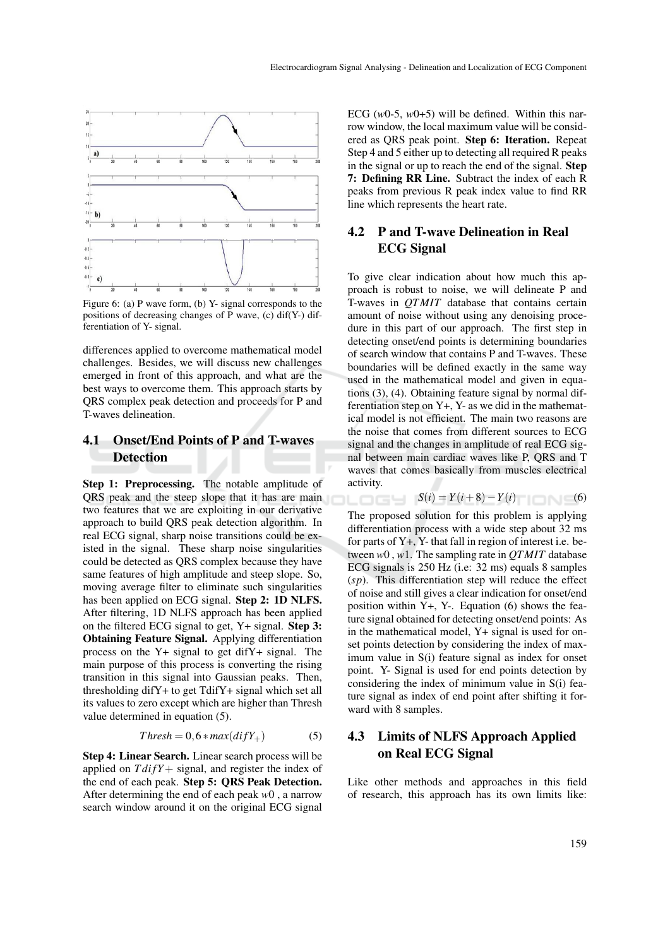

Figure 6: (a) P wave form, (b) Y- signal corresponds to the positions of decreasing changes of P wave,  $(c)$  dif(Y-) differentiation of Y- signal.

differences applied to overcome mathematical model challenges. Besides, we will discuss new challenges emerged in front of this approach, and what are the best ways to overcome them. This approach starts by QRS complex peak detection and proceeds for P and T-waves delineation.

## 4.1 Onset/End Points of P and T-waves Detection

Step 1: Preprocessing. The notable amplitude of QRS peak and the steep slope that it has are main two features that we are exploiting in our derivative approach to build QRS peak detection algorithm. In real ECG signal, sharp noise transitions could be existed in the signal. These sharp noise singularities could be detected as QRS complex because they have same features of high amplitude and steep slope. So, moving average filter to eliminate such singularities has been applied on ECG signal. Step 2: 1D NLFS. After filtering, 1D NLFS approach has been applied on the filtered ECG signal to get, Y+ signal. Step 3: Obtaining Feature Signal. Applying differentiation process on the Y+ signal to get difY+ signal. The main purpose of this process is converting the rising transition in this signal into Gaussian peaks. Then, thresholding difY+ to get TdifY+ signal which set all its values to zero except which are higher than Thresh value determined in equation (5).

$$
Threshold = 0, 6 * max(difY_{+})
$$
 (5)

Step 4: Linear Search. Linear search process will be applied on  $T \frac{di}{Y} +$  signal, and register the index of the end of each peak. Step 5: QRS Peak Detection. After determining the end of each peak *w*0 , a narrow search window around it on the original ECG signal

ECG  $(w0-5, w0+5)$  will be defined. Within this narrow window, the local maximum value will be considered as QRS peak point. Step 6: Iteration. Repeat Step 4 and 5 either up to detecting all required R peaks in the signal or up to reach the end of the signal. Step 7: Defining RR Line. Subtract the index of each R peaks from previous R peak index value to find RR line which represents the heart rate.

## 4.2 P and T-wave Delineation in Real ECG Signal

To give clear indication about how much this approach is robust to noise, we will delineate P and T-waves in *QTMIT* database that contains certain amount of noise without using any denoising procedure in this part of our approach. The first step in detecting onset/end points is determining boundaries of search window that contains P and T-waves. These boundaries will be defined exactly in the same way used in the mathematical model and given in equations (3), (4). Obtaining feature signal by normal differentiation step on  $Y+$ ,  $Y-$  as we did in the mathematical model is not efficient. The main two reasons are the noise that comes from different sources to ECG signal and the changes in amplitude of real ECG signal between main cardiac waves like P, QRS and T waves that comes basically from muscles electrical activity.

$$
S(i) = Y(i+8) - Y(i) \quad (6)
$$

The proposed solution for this problem is applying differentiation process with a wide step about 32 ms for parts of Y+, Y- that fall in region of interest i.e. between *w*0 , *w*1. The sampling rate in *QTMIT* database ECG signals is 250 Hz (i.e: 32 ms) equals 8 samples (*sp*). This differentiation step will reduce the effect of noise and still gives a clear indication for onset/end position within  $Y_+$ ,  $Y_-$ . Equation (6) shows the feature signal obtained for detecting onset/end points: As in the mathematical model, Y+ signal is used for onset points detection by considering the index of maximum value in S(i) feature signal as index for onset point. Y- Signal is used for end points detection by considering the index of minimum value in S(i) feature signal as index of end point after shifting it forward with 8 samples.

## 4.3 Limits of NLFS Approach Applied on Real ECG Signal

Like other methods and approaches in this field of research, this approach has its own limits like: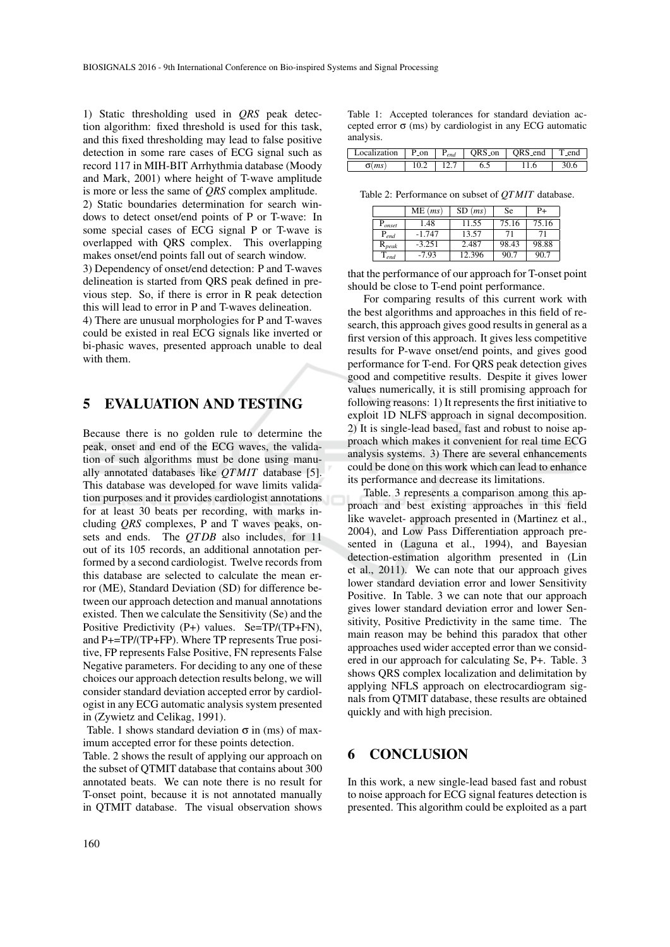1) Static thresholding used in *QRS* peak detection algorithm: fixed threshold is used for this task, and this fixed thresholding may lead to false positive detection in some rare cases of ECG signal such as record 117 in MIH-BIT Arrhythmia database (Moody and Mark, 2001) where height of T-wave amplitude is more or less the same of *QRS* complex amplitude. 2) Static boundaries determination for search windows to detect onset/end points of P or T-wave: In some special cases of ECG signal P or T-wave is overlapped with QRS complex. This overlapping makes onset/end points fall out of search window. 3) Dependency of onset/end detection: P and T-waves

delineation is started from QRS peak defined in previous step. So, if there is error in R peak detection this will lead to error in P and T-waves delineation.

4) There are unusual morphologies for P and T-waves could be existed in real ECG signals like inverted or bi-phasic waves, presented approach unable to deal with them.

## 5 EVALUATION AND TESTING

Because there is no golden rule to determine the peak, onset and end of the ECG waves, the validation of such algorithms must be done using manually annotated databases like *QTMIT* database [5]. This database was developed for wave limits validation purposes and it provides cardiologist annotations for at least 30 beats per recording, with marks including *QRS* complexes, P and T waves peaks, onsets and ends. The *QT DB* also includes, for 11 out of its 105 records, an additional annotation performed by a second cardiologist. Twelve records from this database are selected to calculate the mean error (ME), Standard Deviation (SD) for difference between our approach detection and manual annotations existed. Then we calculate the Sensitivity (Se) and the Positive Predictivity (P+) values. Se=TP/(TP+FN), and P+=TP/(TP+FP). Where TP represents True positive, FP represents False Positive, FN represents False Negative parameters. For deciding to any one of these choices our approach detection results belong, we will consider standard deviation accepted error by cardiologist in any ECG automatic analysis system presented in (Zywietz and Celikag, 1991).

Table. 1 shows standard deviation  $\sigma$  in (ms) of maximum accepted error for these points detection.

Table. 2 shows the result of applying our approach on the subset of QTMIT database that contains about 300 annotated beats. We can note there is no result for T-onset point, because it is not annotated manually in QTMIT database. The visual observation shows

 $\sigma(ms)$  | 10.2 | 12.7 | 6.5 | 11.6 | 30.6 Table 2: Performance on subset of *QTMIT* database.

analysis.

|                         | $ME$ ( <i>ms</i> ) | $SD$ $(ms)$ | Se    | P+    |
|-------------------------|--------------------|-------------|-------|-------|
| ${\rm P}_{onset}$       | 1.48               | 11.55       | 75.16 | 75.16 |
| $P_{end}$               | $-1.747$           | 13.57       | 71    |       |
| $\mathrm{R}_{\it peak}$ | $-3.251$           | 2.487       | 98.43 | 98.88 |
| $\mathbf{I}_{end}$      | $-7.93$            | 12.396      | 90.7  | 90.7  |

Table 1: Accepted tolerances for standard deviation accepted error σ (ms) by cardiologist in any ECG automatic

Localization P on P<sub>end</sub> QRS on QRS end T end

that the performance of our approach for T-onset point should be close to T-end point performance.

For comparing results of this current work with the best algorithms and approaches in this field of research, this approach gives good results in general as a first version of this approach. It gives less competitive results for P-wave onset/end points, and gives good performance for T-end. For QRS peak detection gives good and competitive results. Despite it gives lower values numerically, it is still promising approach for following reasons: 1) It represents the first initiative to exploit 1D NLFS approach in signal decomposition. 2) It is single-lead based, fast and robust to noise approach which makes it convenient for real time ECG analysis systems. 3) There are several enhancements could be done on this work which can lead to enhance its performance and decrease its limitations.

Table. 3 represents a comparison among this approach and best existing approaches in this field like wavelet- approach presented in (Martinez et al., 2004), and Low Pass Differentiation approach presented in (Laguna et al., 1994), and Bayesian detection-estimation algorithm presented in (Lin et al., 2011). We can note that our approach gives lower standard deviation error and lower Sensitivity Positive. In Table. 3 we can note that our approach gives lower standard deviation error and lower Sensitivity, Positive Predictivity in the same time. The main reason may be behind this paradox that other approaches used wider accepted error than we considered in our approach for calculating Se, P+. Table. 3 shows QRS complex localization and delimitation by applying NFLS approach on electrocardiogram signals from QTMIT database, these results are obtained quickly and with high precision.

#### 6 CONCLUSION

In this work, a new single-lead based fast and robust to noise approach for ECG signal features detection is presented. This algorithm could be exploited as a part